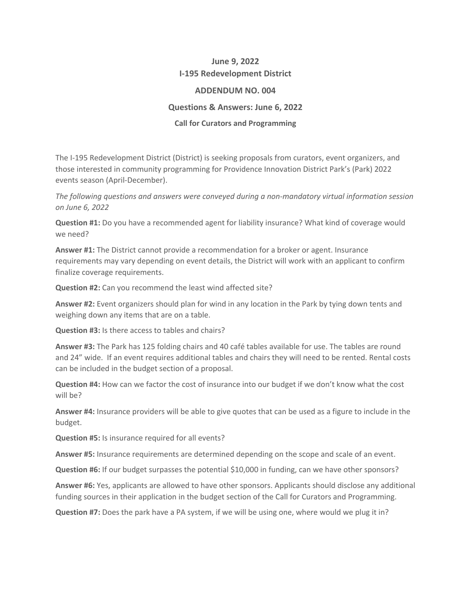## **June 9, 2022 I-195 Redevelopment District**

## **ADDENDUM NO. 004**

## **Questions & Answers: June 6, 2022**

## **Call for Curators and Programming**

The I-195 Redevelopment District (District) is seeking proposals from curators, event organizers, and those interested in community programming for Providence Innovation District Park's (Park) 2022 events season (April-December).

*The following questions and answers were conveyed during a non-mandatory virtual information session on June 6, 2022*

**Question #1:** Do you have a recommended agent for liability insurance? What kind of coverage would we need?

**Answer #1:** The District cannot provide a recommendation for a broker or agent. Insurance requirements may vary depending on event details, the District will work with an applicant to confirm finalize coverage requirements.

**Question #2:** Can you recommend the least wind affected site?

**Answer #2:** Event organizers should plan for wind in any location in the Park by tying down tents and weighing down any items that are on a table.

**Question #3:** Is there access to tables and chairs?

**Answer #3:** The Park has 125 folding chairs and 40 café tables available for use. The tables are round and 24" wide. If an event requires additional tables and chairs they will need to be rented. Rental costs can be included in the budget section of a proposal.

**Question #4:** How can we factor the cost of insurance into our budget if we don't know what the cost will be?

**Answer #4:** Insurance providers will be able to give quotes that can be used as a figure to include in the budget.

**Question #5:** Is insurance required for all events?

**Answer #5:** Insurance requirements are determined depending on the scope and scale of an event.

**Question #6:** If our budget surpasses the potential \$10,000 in funding, can we have other sponsors?

**Answer #6:** Yes, applicants are allowed to have other sponsors. Applicants should disclose any additional funding sources in their application in the budget section of the Call for Curators and Programming.

**Question #7:** Does the park have a PA system, if we will be using one, where would we plug it in?